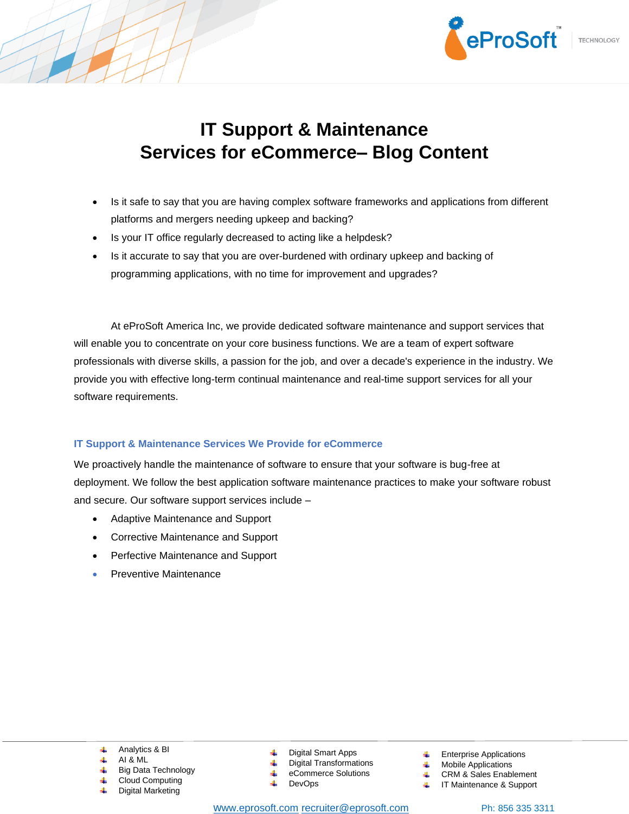

# **IT Support & Maintenance Services for eCommerce– Blog Content**

- Is it safe to say that you are having complex software frameworks and applications from different platforms and mergers needing upkeep and backing?
- Is your IT office regularly decreased to acting like a helpdesk?
- Is it accurate to say that you are over-burdened with ordinary upkeep and backing of programming applications, with no time for improvement and upgrades?

At eProSoft America Inc, we provide dedicated software maintenance and support services that will enable you to concentrate on your core business functions. We are a team of expert software professionals with diverse skills, a passion for the job, and over a decade's experience in the industry. We provide you with effective long-term continual maintenance and real-time support services for all your software requirements.

## **IT Support & Maintenance Services We Provide for eCommerce**

We proactively handle the maintenance of software to ensure that your software is bug-free at deployment. We follow the best application software maintenance practices to make your software robust and secure. Our software support services include –

- Adaptive Maintenance and Support
- Corrective Maintenance and Support
- Perfective Maintenance and Support
- Preventive Maintenance

- Analytics & BI
- AI & ML
- Big Data Technology
- Cloud Computing Digital Marketing
- Digital Smart Apps
- Digital Transformations
- eCommerce Solutions
- DevOps
- w[ww.eprosoft.com](http://www.eprosoft.com/) [recruiter@eprosoft.com](mailto:recruiter@eprosoft.com) Ph: 856 335 3311
- Enterprise Applications
- Mobile Applications
- CRM & Sales Enablement
	- IT Maintenance & Support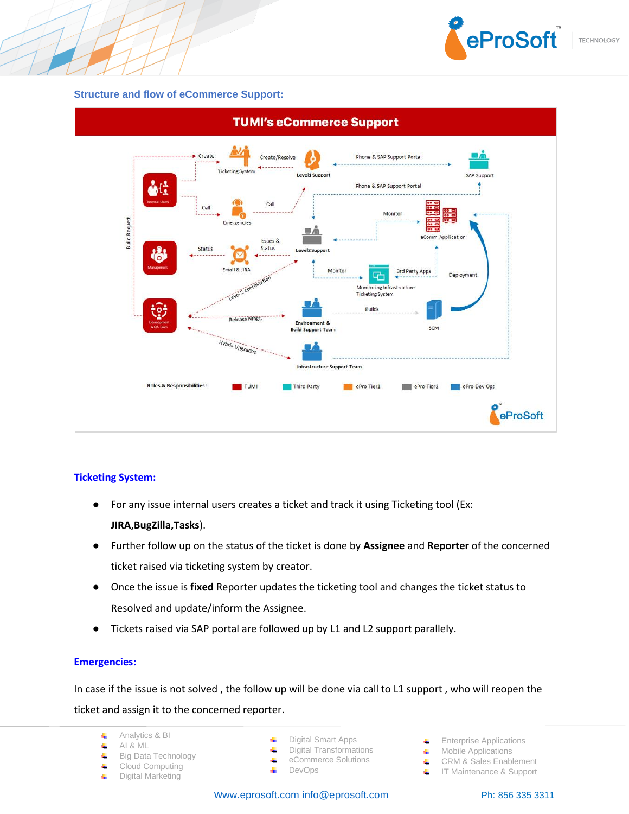

#### **Structure and flow of eCommerce Support:**



## **Ticketing System:**

- For any issue internal users creates a ticket and track it using Ticketing tool (Ex: **JIRA,BugZilla,Tasks**).
- Further follow up on the status of the ticket is done by **Assignee** and **Reporter** of the concerned ticket raised via ticketing system by creator.
- Once the issue is **fixed** Reporter updates the ticketing tool and changes the ticket status to Resolved and update/inform the Assignee.
- Tickets raised via SAP portal are followed up by L1 and L2 support parallely.

## **Emergencies:**

In case if the issue is not solved , the follow up will be done via call to L1 support , who will reopen the ticket and assign it to the concerned reporter.

- Analytics & BI 4.
- 4 AI & ML
- 4 Big Data Technology
- 4 Cloud Computing
- Digital Marketing 4
- Digital Smart Apps
- 业 Digital Transformations
- eCommerce Solutions
- 4 DevOps
- Enterprise Applications
- ₩. Mobile Applications
- 4. CRM & Sales Enablement
- 4. IT Maintenance & Support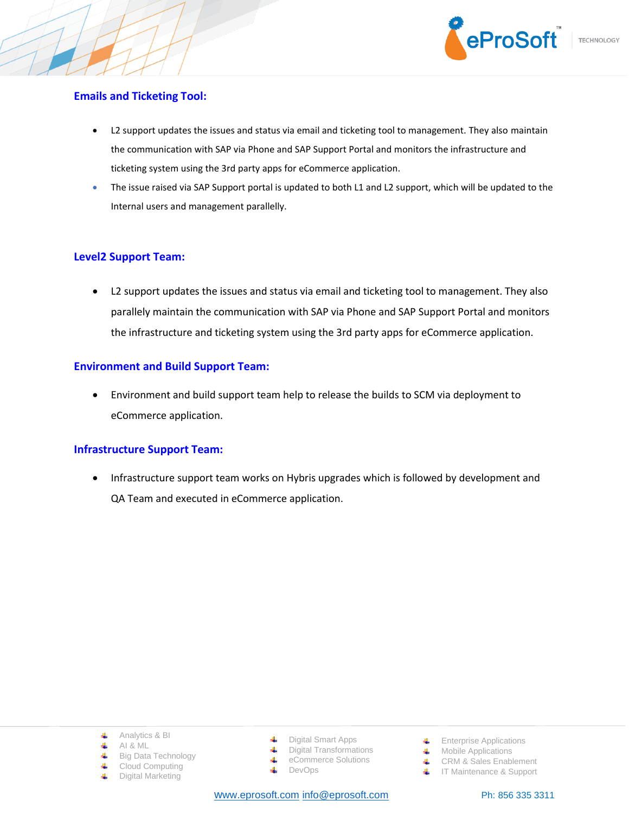

# **Emails and Ticketing Tool:**

- L2 support updates the issues and status via email and ticketing tool to management. They also maintain the communication with SAP via Phone and SAP Support Portal and monitors the infrastructure and ticketing system using the 3rd party apps for eCommerce application.
- The issue raised via SAP Support portal is updated to both L1 and L2 support, which will be updated to the Internal users and management parallelly.

# **Level2 Support Team:**

• L2 support updates the issues and status via email and ticketing tool to management. They also parallely maintain the communication with SAP via Phone and SAP Support Portal and monitors the infrastructure and ticketing system using the 3rd party apps for eCommerce application.

# **Environment and Build Support Team:**

• Environment and build support team help to release the builds to SCM via deployment to eCommerce application.

## **Infrastructure Support Team:**

• Infrastructure support team works on Hybris upgrades which is followed by development and QA Team and executed in eCommerce application.

- Analytics & BI
- 4 AI & ML
- Big Data Technology 4.
- Cloud Computing
- Digital Marketing
- Digital Smart Apps
- 4. Digital Transformations
- eCommerce Solutions
- 4 DevOps

- **Enterprise Applications**
- Mobile Applications
- CRM & Sales Enablement
- **IF** IT Maintenance & Support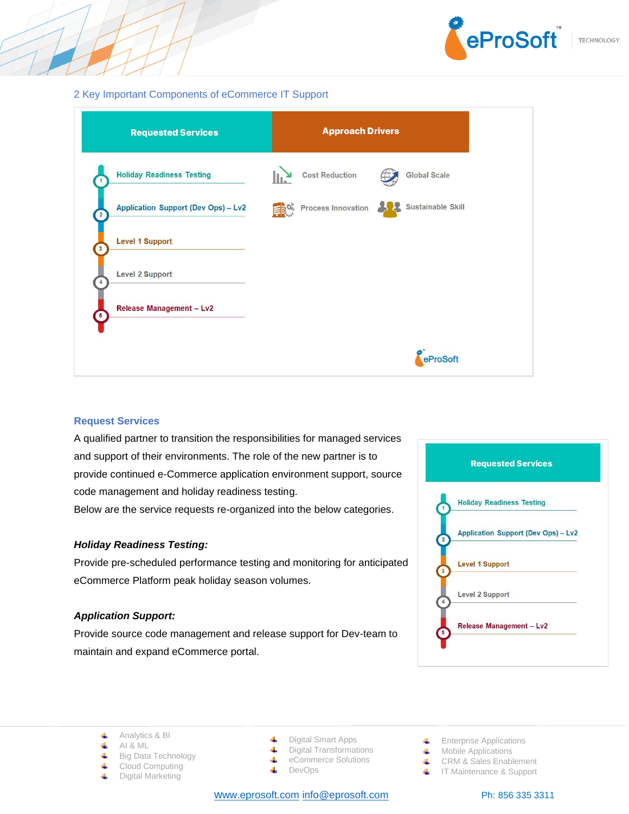

### 2 Key Important Components of eCommerce IT Support

| <b>Requested Services</b>                  | <b>Approach Drivers</b>   |  |                     |
|--------------------------------------------|---------------------------|--|---------------------|
| <b>Holiday Readiness Testing</b>           | <b>Cost Reduction</b>     |  | <b>Global Scale</b> |
| <b>Application Support (Dev Ops) - Lv2</b> | <b>Process Innovation</b> |  | Sustainable Skill   |
| <b>Level 1 Support</b>                     |                           |  |                     |
| Level 2 Support                            |                           |  |                     |
| Release Management - Lv2                   |                           |  |                     |
|                                            |                           |  | eProSoft            |

## **Request Services**

A qualified partner to transition the responsibilities for managed services and support of their environments. The role of the new partner is to provide continued e-Commerce application environment support, source code management and holiday readiness testing. Below are the service requests re-organized into the below categories.

#### *Holiday Readiness Testing:*

Provide pre-scheduled performance testing and monitoring for anticipated eCommerce Platform peak holiday season volumes.

## *Application Support:*

Provide source code management and release support for Dev-team to maintain and expand eCommerce portal.





- 4 AI & ML
- Big Data Technology 4.
- 4 Cloud Computing
- Digital Marketing 4
- Digital Smart Apps
- $\ddot{\phantom{1}}$ Digital Transformations 4
	- eCommerce Solutions
- 4 DevOps

- **Enterprise Applications**
- Mobile Applications
- **↓** CRM & Sales Enablement
- **IF Maintenance & Support**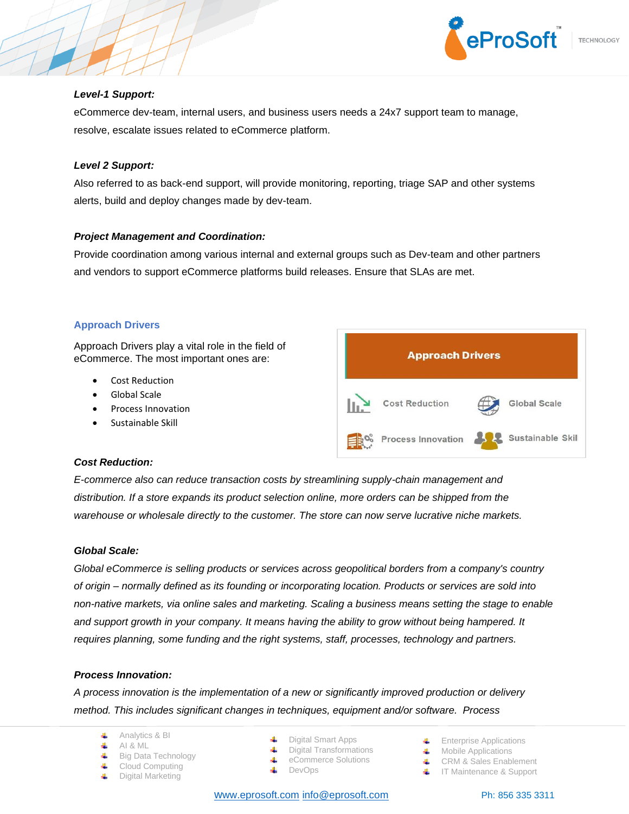

### *Level-1 Support:*

eCommerce dev-team, internal users, and business users needs a 24x7 support team to manage, resolve, escalate issues related to eCommerce platform.

### *Level 2 Support:*

Also referred to as back-end support, will provide monitoring, reporting, triage SAP and other systems alerts, build and deploy changes made by dev-team.

### *Project Management and Coordination:*

Provide coordination among various internal and external groups such as Dev-team and other partners and vendors to support eCommerce platforms build releases. Ensure that SLAs are met.

## **Approach Drivers**

Approach Drivers play a vital role in the field of eCommerce. The most important ones are:

- Cost Reduction
- Global Scale
- Process Innovation
- Sustainable Skill



## *Cost Reduction:*

*E-commerce also can reduce transaction costs by streamlining supply-chain management and distribution. If a store expands its product selection online, more orders can be shipped from the warehouse or wholesale directly to the customer. The store can now serve lucrative niche markets.*

## *Global Scale:*

*Global eCommerce is selling products or services across geopolitical borders from a company's country of origin – normally defined as its founding or incorporating location. Products or services are sold into non-native markets, via online sales and marketing. Scaling a business means setting the stage to enable and support growth in your company. It means having the ability to grow without being hampered. It requires planning, some funding and the right systems, staff, processes, technology and partners.*

#### *Process Innovation:*

*A process innovation is the implementation of a new or significantly improved production or delivery method. This includes significant changes in techniques, equipment and/or software. Process* 

- Analytics & BI
- 4. AI & ML
- Big Data Technology 4.
- Cloud Computing
- Digital Marketing
- Digital Smart Apps
- Digital Transformations
- eCommerce Solutions
- 
- 4 DevOps
	-

w[ww.eprosoft.com](http://www.eprosoft.com/) [info@eprosoft.com](mailto:info@eprosoft.com) Ph: 856 335 3311

- CRM & Sales Enablement
- **IT Maintenance & Support**

 $\leftarrow$  Enterprise Applications Mobile Applications